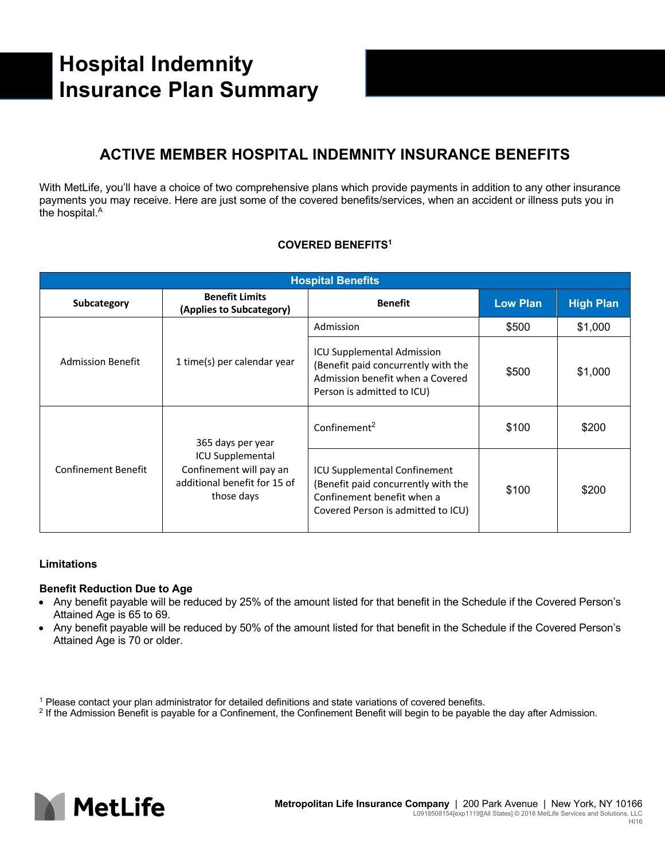# **Hospital Indemnity Insurance Plan Summary**

## **ACTIVE MEMBER HOSPITAL INDEMNITY INSURANCE BENEFITS**

With MetLife, you'll have a choice of two comprehensive plans which provide payments in addition to any other insurance payments you may receive. Here are just some of the covered benefits/services, when an accident or illness puts you in the hospital. A

### **COVERED BENEFITS1**

| <b>Hospital Benefits</b>   |                                                                                                                       |                                                                                                                                                |                 |                  |  |  |
|----------------------------|-----------------------------------------------------------------------------------------------------------------------|------------------------------------------------------------------------------------------------------------------------------------------------|-----------------|------------------|--|--|
| Subcategory                | <b>Benefit Limits</b><br>(Applies to Subcategory)                                                                     | <b>Benefit</b>                                                                                                                                 | <b>Low Plan</b> | <b>High Plan</b> |  |  |
| <b>Admission Benefit</b>   | 1 time(s) per calendar year                                                                                           | Admission                                                                                                                                      | \$500           | \$1,000          |  |  |
|                            |                                                                                                                       | <b>ICU Supplemental Admission</b><br>(Benefit paid concurrently with the<br>Admission benefit when a Covered<br>Person is admitted to ICU)     | \$500           | \$1,000          |  |  |
| <b>Confinement Benefit</b> | 365 days per year<br><b>ICU Supplemental</b><br>Confinement will pay an<br>additional benefit for 15 of<br>those days | Confinement <sup>2</sup>                                                                                                                       | \$100           | \$200            |  |  |
|                            |                                                                                                                       | <b>ICU Supplemental Confinement</b><br>(Benefit paid concurrently with the<br>Confinement benefit when a<br>Covered Person is admitted to ICU) | \$100           | \$200            |  |  |

### **Limitations**

### **Benefit Reduction Due to Age**

- Any benefit payable will be reduced by 25% of the amount listed for that benefit in the Schedule if the Covered Person's Attained Age is 65 to 69.
- Any benefit payable will be reduced by 50% of the amount listed for that benefit in the Schedule if the Covered Person's Attained Age is 70 or older.



<sup>1</sup> Please contact your plan administrator for detailed definitions and state variations of covered benefits.

<sup>&</sup>lt;sup>2</sup> If the Admission Benefit is payable for a Confinement, the Confinement Benefit will begin to be payable the day after Admission.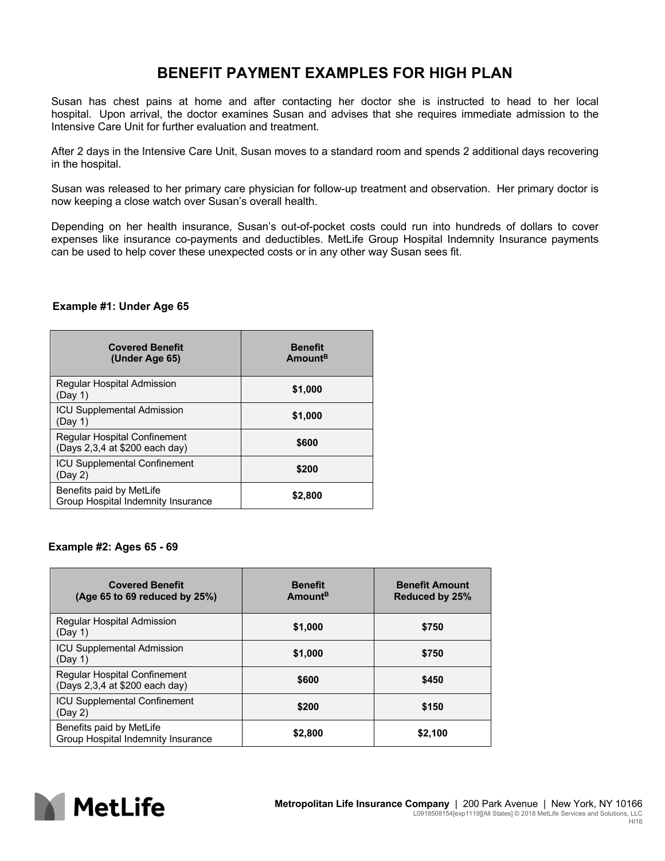### **BENEFIT PAYMENT EXAMPLES FOR HIGH PLAN**

Susan has chest pains at home and after contacting her doctor she is instructed to head to her local hospital. Upon arrival, the doctor examines Susan and advises that she requires immediate admission to the Intensive Care Unit for further evaluation and treatment.

After 2 days in the Intensive Care Unit, Susan moves to a standard room and spends 2 additional days recovering in the hospital.

Susan was released to her primary care physician for follow-up treatment and observation. Her primary doctor is now keeping a close watch over Susan's overall health.

Depending on her health insurance, Susan's out-of-pocket costs could run into hundreds of dollars to cover expenses like insurance co-payments and deductibles. MetLife Group Hospital Indemnity Insurance payments can be used to help cover these unexpected costs or in any other way Susan sees fit.

### **Example #1: Under Age 65**

| <b>Covered Benefit</b><br>(Under Age 65)                              | <b>Benefit</b><br>Amount <sup>B</sup> |
|-----------------------------------------------------------------------|---------------------------------------|
| Regular Hospital Admission<br>(Day 1)                                 | \$1,000                               |
| <b>ICU Supplemental Admission</b><br>(Day 1)                          | \$1,000                               |
| <b>Regular Hospital Confinement</b><br>(Days 2,3,4 at \$200 each day) | \$600                                 |
| <b>ICU Supplemental Confinement</b><br>(Day 2)                        | \$200                                 |
| Benefits paid by MetLife<br>Group Hospital Indemnity Insurance        | \$2,800                               |

### **Example #2: Ages 65 - 69**

| <b>Covered Benefit</b><br>(Age 65 to 69 reduced by 25%)               | <b>Benefit</b><br>Amount <sup>B</sup> | <b>Benefit Amount</b><br><b>Reduced by 25%</b> |
|-----------------------------------------------------------------------|---------------------------------------|------------------------------------------------|
| <b>Regular Hospital Admission</b><br>(Day 1)                          | \$1,000                               | \$750                                          |
| <b>ICU Supplemental Admission</b><br>(Day 1)                          | \$1,000                               | \$750                                          |
| <b>Regular Hospital Confinement</b><br>(Days 2,3,4 at \$200 each day) | \$600                                 | \$450                                          |
| <b>ICU Supplemental Confinement</b><br>(Dav 2)                        | \$200                                 | \$150                                          |
| Benefits paid by MetLife<br>Group Hospital Indemnity Insurance        | \$2,800                               | \$2.100                                        |